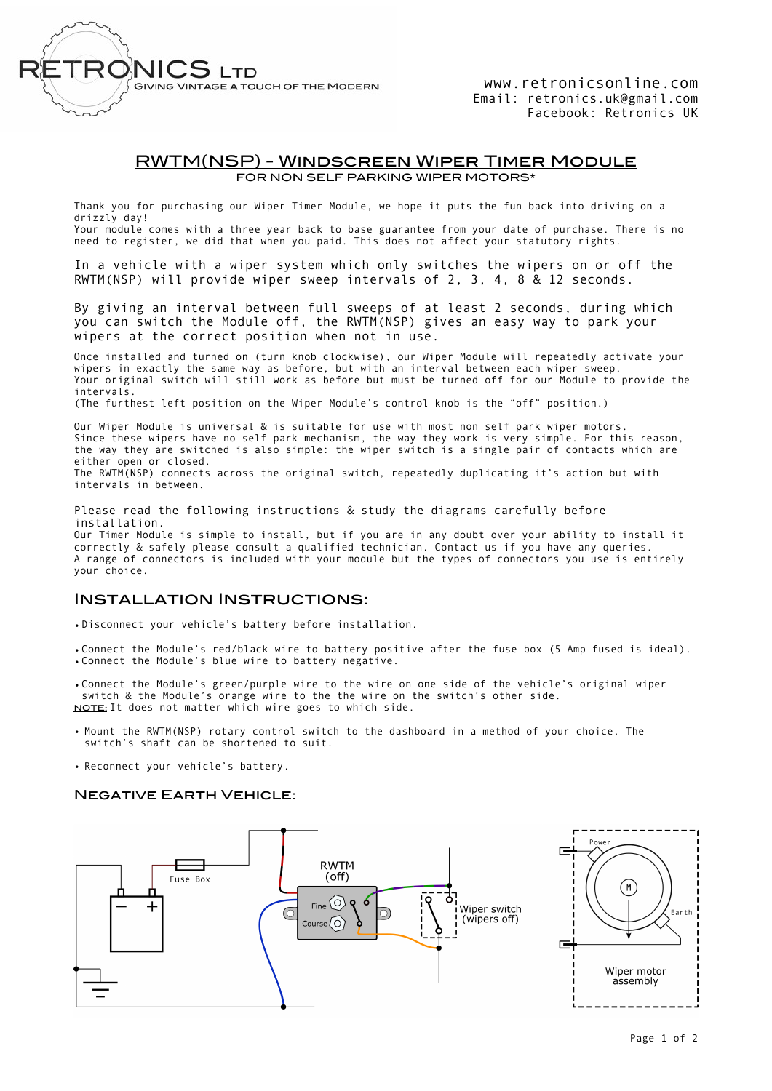

www.retronicsonline.com Email: retronics.uk@gmail.com Facebook: Retronics UK

### RWTM(NSP) - Windscreen Wiper Timer Module FOR NON SELF PARKING WIPER MOTORS\*

Thank you for purchasing our Wiper Timer Module, we hope it puts the fun back into driving on a drizzly day!

Your module comes with a three year back to base guarantee from your date of purchase. There is no need to register, we did that when you paid. This does not affect your statutory rights.

In a vehicle with a wiper system which only switches the wipers on or off the RWTM(NSP) will provide wiper sweep intervals of 2, 3, 4, 8 & 12 seconds.

By giving an interval between full sweeps of at least 2 seconds, during which you can switch the Module off, the RWTM(NSP) gives an easy way to park your wipers at the correct position when not in use.

Once installed and turned on (turn knob clockwise), our Wiper Module will repeatedly activate your wipers in exactly the same way as before, but with an interval between each wiper sweep. Your original switch will still work as before but must be turned off for our Module to provide the intervals.

(The furthest left position on the Wiper Module's control knob is the "off" position.)

Our Wiper Module is universal & is suitable for use with most non self park wiper motors. Since these wipers have no self park mechanism, the way they work is very simple. For this reason, the way they are switched is also simple: the wiper switch is a single pair of contacts which are either open or closed. The RWTM(NSP) connects across the original switch, repeatedly duplicating it's action but with intervals in between.

Please read the following instructions & study the diagrams carefully before installation.

Our Timer Module is simple to install, but if you are in any doubt over your ability to install it correctly & safely please consult a qualified technician. Contact us if you have any queries. A range of connectors is included with your module but the types of connectors you use is entirely your choice.

## Installation Instructions:

•Disconnect your vehicle's battery before installation.

•Connect the Module's red/black wire to battery positive after the fuse box (5 Amp fused is ideal). •Connect the Module's blue wire to battery negative.

•Connect the Module's green/purple wire to the wire on one side of the vehicle's original wiper switch & the Module's orange wire to the the wire on the switch's other side. NOTE: It does not matter which wire goes to which side.

- Mount the RWTM(NSP) rotary control switch to the dashboard in a method of your choice. The switch's shaft can be shortened to suit.
- Reconnect your vehicle's battery.

#### Negative Earth Vehicle: